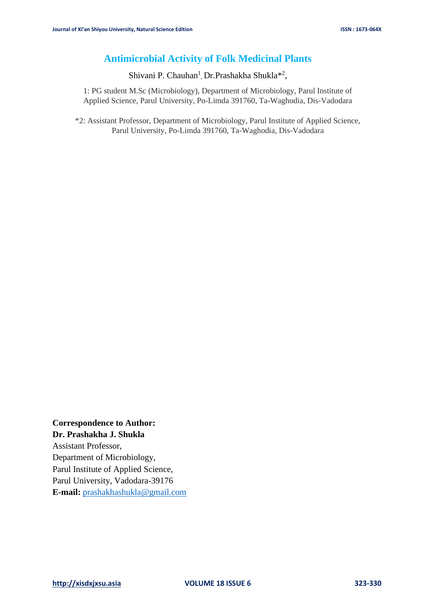# **Antimicrobial Activity of Folk Medicinal Plants**

Shivani P. Chauhan<sup>1</sup>, Dr.Prashakha Shukla<sup>\*2</sup>,

1: PG student M.Sc (Microbiology), Department of Microbiology, Parul Institute of Applied Science, Parul University, Po-Limda 391760, Ta-Waghodia, Dis-Vadodara

\*2: Assistant Professor, Department of Microbiology, Parul Institute of Applied Science, Parul University, Po-Limda 391760, Ta-Waghodia, Dis-Vadodara

**Correspondence to Author: Dr. Prashakha J. Shukla**

Assistant Professor, Department of Microbiology, Parul Institute of Applied Science, Parul University, Vadodara-39176 **E-mail:** [prashakhashukla@gmail.com](mailto:prashakhashukla@gmail.com)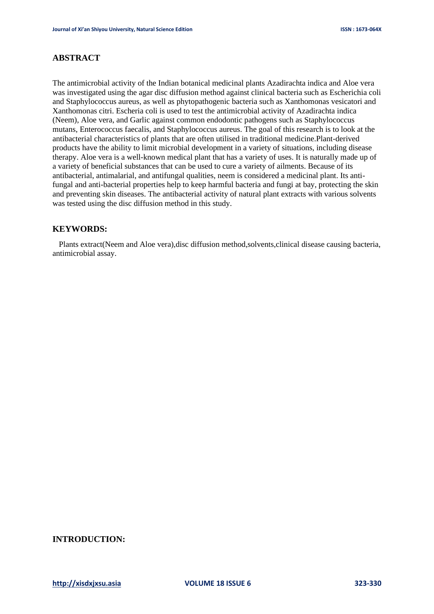# **ABSTRACT**

The antimicrobial activity of the Indian botanical medicinal plants Azadirachta indica and Aloe vera was investigated using the agar disc diffusion method against clinical bacteria such as Escherichia coli and Staphylococcus aureus, as well as phytopathogenic bacteria such as Xanthomonas vesicatori and Xanthomonas citri. Escheria coli is used to test the antimicrobial activity of Azadirachta indica (Neem), Aloe vera, and Garlic against common endodontic pathogens such as Staphylococcus mutans, Enterococcus faecalis, and Staphylococcus aureus. The goal of this research is to look at the antibacterial characteristics of plants that are often utilised in traditional medicine.Plant-derived products have the ability to limit microbial development in a variety of situations, including disease therapy. Aloe vera is a well-known medical plant that has a variety of uses. It is naturally made up of a variety of beneficial substances that can be used to cure a variety of ailments. Because of its antibacterial, antimalarial, and antifungal qualities, neem is considered a medicinal plant. Its antifungal and anti-bacterial properties help to keep harmful bacteria and fungi at bay, protecting the skin and preventing skin diseases. The antibacterial activity of natural plant extracts with various solvents was tested using the disc diffusion method in this study.

# **KEYWORDS:**

Plants extract(Neem and Aloe vera),disc diffusion method,solvents,clinical disease causing bacteria, antimicrobial assay.

# **INTRODUCTION:**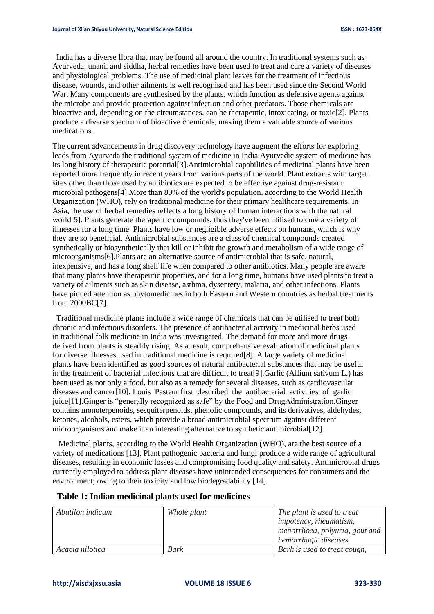India has a diverse flora that may be found all around the country. In traditional systems such as Ayurveda, unani, and siddha, herbal remedies have been used to treat and cure a variety of diseases and physiological problems. The use of medicinal plant leaves for the treatment of infectious disease, wounds, and other ailments is well recognised and has been used since the Second World War. Many components are synthesised by the plants, which function as defensive agents against the microbe and provide protection against infection and other predators. Those chemicals are bioactive and, depending on the circumstances, can be therapeutic, intoxicating, or toxic[2]. Plants produce a diverse spectrum of bioactive chemicals, making them a valuable source of various medications.

The current advancements in drug discovery technology have augment the efforts for exploring leads from Ayurveda the traditional system of medicine in India.Ayurvedic system of medicine has its long history of therapeutic potential[3].Antimicrobial capabilities of medicinal plants have been reported more frequently in recent years from various parts of the world. Plant extracts with target sites other than those used by antibiotics are expected to be effective against drug-resistant microbial pathogens[4].More than 80% of the world's population, according to the World Health Organization (WHO), rely on traditional medicine for their primary healthcare requirements. In Asia, the use of herbal remedies reflects a long history of human interactions with the natural world[5]. Plants generate therapeutic compounds, thus they've been utilised to cure a variety of illnesses for a long time. Plants have low or negligible adverse effects on humans, which is why they are so beneficial. Antimicrobial substances are a class of chemical compounds created synthetically or biosynthetically that kill or inhibit the growth and metabolism of a wide range of microorganisms[6].Plants are an alternative source of antimicrobial that is safe, natural, inexpensive, and has a long shelf life when compared to other antibiotics. Many people are aware that many plants have therapeutic properties, and for a long time, humans have used plants to treat a variety of ailments such as skin disease, asthma, dysentery, malaria, and other infections. Plants have piqued attention as phytomedicines in both Eastern and Western countries as herbal treatments from 2000BC[7].

 Traditional medicine plants include a wide range of chemicals that can be utilised to treat both chronic and infectious disorders. The presence of antibacterial activity in medicinal herbs used in traditional folk medicine in India was investigated. The demand for more and more drugs derived from plants is steadily rising. As a result, comprehensive evaluation of medicinal plants for diverse illnesses used in traditional medicine is required[8]. A large variety of medicinal plants have been identified as good sources of natural antibacterial substances that may be useful in the treatment of bacterial infections that are difficult to treat[9].Garlic (Allium sativum L.) has been used as not only a food, but also as a remedy for several diseases, such as cardiovascular diseases and cancer[10]. Louis Pasteur first described the antibacterial activities of garlic juice[11].Ginger is "generally recognized as safe" by the Food and DrugAdministration.Ginger contains monoterpenoids, sesquiterpenoids, phenolic compounds, and its derivatives, aldehydes, ketones, alcohols, esters, which provide a broad antimicrobial spectrum against different microorganisms and make it an interesting alternative to synthetic antimicrobial[12].

 Medicinal plants, according to the World Health Organization (WHO), are the best source of a variety of medications [13]. Plant pathogenic bacteria and fungi produce a wide range of agricultural diseases, resulting in economic losses and compromising food quality and safety. Antimicrobial drugs currently employed to address plant diseases have unintended consequences for consumers and the environment, owing to their toxicity and low biodegradability [14].

# **Table 1: Indian medicinal plants used for medicines**

| Abutilon indicum | Whole plant | The plant is used to treat<br><i>impotency, rheumatism,</i> |
|------------------|-------------|-------------------------------------------------------------|
|                  |             | menorrhoea, polyuria, gout and                              |
|                  |             | hemorrhagic diseases                                        |
| Acacia nilotica  | Bark        | Bark is used to treat cough,                                |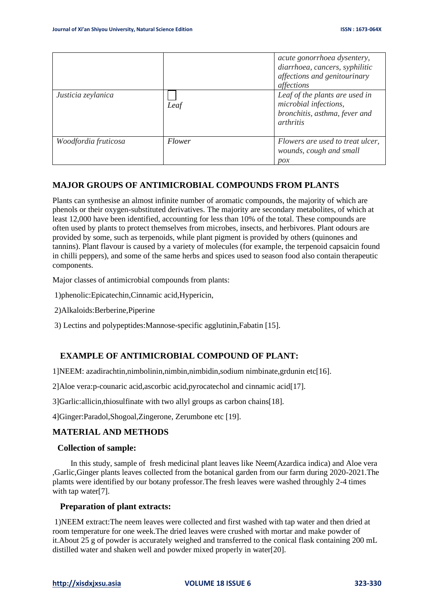|                      |        | acute gonorrhoea dysentery,<br>diarrhoea, cancers, syphilitic<br>affections and genitourinary<br>affections |
|----------------------|--------|-------------------------------------------------------------------------------------------------------------|
| Justicia zeylanica   | Leaf   | Leaf of the plants are used in<br>microbial infections,<br>bronchitis, asthma, fever and<br>arthritis       |
| Woodfordia fruticosa | Flower | Flowers are used to treat ulcer,<br>wounds, cough and small<br>$p_{OX}$                                     |

# **MAJOR GROUPS OF ANTIMICROBIAL COMPOUNDS FROM PLANTS**

Plants can synthesise an almost infinite number of aromatic compounds, the majority of which are phenols or their oxygen-substituted derivatives. The majority are secondary metabolites, of which at least 12,000 have been identified, accounting for less than 10% of the total. These compounds are often used by plants to protect themselves from microbes, insects, and herbivores. Plant odours are provided by some, such as terpenoids, while plant pigment is provided by others (quinones and tannins). Plant flavour is caused by a variety of molecules (for example, the terpenoid capsaicin found in chilli peppers), and some of the same herbs and spices used to season food also contain therapeutic components.

Major classes of antimicrobial compounds from plants:

1)phenolic:Epicatechin,Cinnamic acid,Hypericin,

2)Alkaloids:Berberine,Piperine

3) Lectins and polypeptides:Mannose-specific agglutinin,Fabatin [15].

# **EXAMPLE OF ANTIMICROBIAL COMPOUND OF PLANT:**

1]NEEM: azadirachtin,nimbolinin,nimbin,nimbidin,sodium nimbinate,grdunin etc[16].

2]Aloe vera:p-counaric acid,ascorbic acid,pyrocatechol and cinnamic acid[17].

3]Garlic:allicin,thiosulfinate with two allyl groups as carbon chains[18].

4]Ginger:Paradol,Shogoal,Zingerone, Zerumbone etc [19].

#### **MATERIAL AND METHODS**

#### **Collection of sample:**

 In this study, sample of fresh medicinal plant leaves like Neem(Azardica indica) and Aloe vera ,Garlic,Ginger plants leaves collected from the botanical garden from our farm during 2020-2021.The plamts were identified by our botany professor.The fresh leaves were washed throughly 2-4 times with tap water[7].

### **Preparation of plant extracts:**

1)NEEM extract:The neem leaves were collected and first washed with tap water and then dried at room temperature for one week.The dried leaves were crushed with mortar and make powder of it.About 25 g of powder is accurately weighed and transferred to the conical flask containing 200 mL distilled water and shaken well and powder mixed properly in water[20].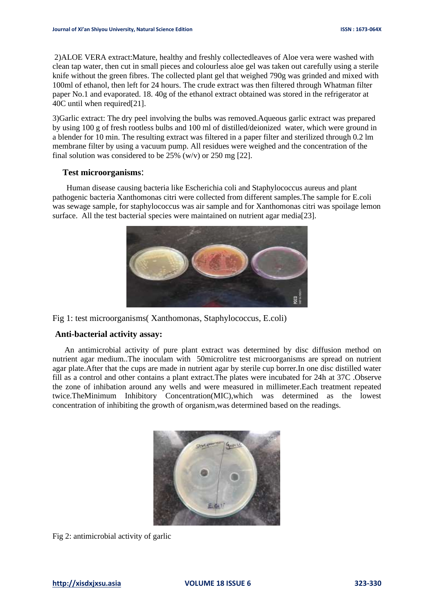2)ALOE VERA extract:Mature, healthy and freshly collectedleaves of Aloe vera were washed with clean tap water, then cut in small pieces and colourless aloe gel was taken out carefully using a sterile knife without the green fibres. The collected plant gel that weighed 790g was grinded and mixed with 100ml of ethanol, then left for 24 hours. The crude extract was then filtered through Whatman filter paper No.1 and evaporated. 18. 40g of the ethanol extract obtained was stored in the refrigerator at 40C until when required[21].

3)Garlic extract: The dry peel involving the bulbs was removed.Aqueous garlic extract was prepared by using 100 g of fresh rootless bulbs and 100 ml of distilled/deionized water, which were ground in a blender for 10 min. The resulting extract was filtered in a paper filter and sterilized through 0.2 lm membrane filter by using a vacuum pump. All residues were weighed and the concentration of the final solution was considered to be  $25\%$  (w/v) or  $250$  mg [22].

### **Test microorganisms**:

 Human disease causing bacteria like Escherichia coli and Staphylococcus aureus and plant pathogenic bacteria Xanthomonas citri were collected from different samples.The sample for E.coli was sewage sample, for staphylococcus was air sample and for Xanthomonas citri was spoilage lemon surface. All the test bacterial species were maintained on nutrient agar media[23].



Fig 1: test microorganisms( Xanthomonas, Staphylococcus, E.coli)

# **Anti-bacterial activity assay:**

 An antimicrobial activity of pure plant extract was determined by disc diffusion method on nutrient agar medium..The inoculam with 50microlitre test microorganisms are spread on nutrient agar plate.After that the cups are made in nutrient agar by sterile cup borrer.In one disc distilled water fill as a control and other contains a plant extract.The plates were incubated for 24h at 37C .Observe the zone of inhibation around any wells and were measured in millimeter.Each treatment repeated twice.TheMinimum Inhibitory Concentration(MIC),which was determined as the lowest concentration of inhibiting the growth of organism,was determined based on the readings.



Fig 2: antimicrobial activity of garlic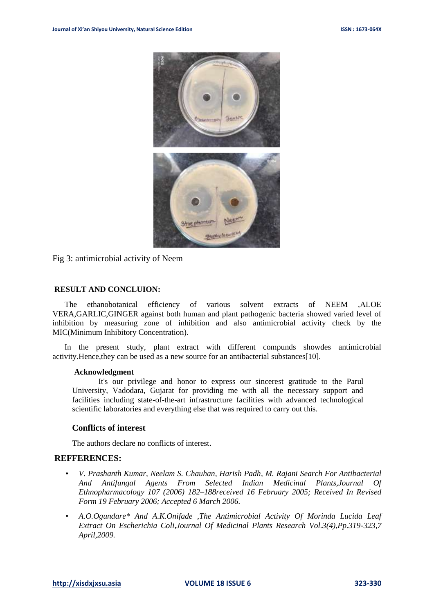

Fig 3: antimicrobial activity of Neem

### **RESULT AND CONCLUION:**

 The ethanobotanical efficiency of various solvent extracts of NEEM ,ALOE VERA,GARLIC,GINGER against both human and plant pathogenic bacteria showed varied level of inhibition by measuring zone of inhibition and also antimicrobial activity check by the MIC(Minimum Inhibitory Concentration).

 In the present study, plant extract with different compunds showdes antimicrobial activity.Hence,they can be used as a new source for an antibacterial substances[10].

#### **Acknowledgment**

It's our privilege and honor to express our sincerest gratitude to the Parul University, Vadodara, Gujarat for providing me with all the necessary support and facilities including state-of-the-art infrastructure facilities with advanced technological scientific laboratories and everything else that was required to carry out this.

### **Conflicts of interest**

The authors declare no conflicts of interest.

# **REFFERENCES:**

- *V. Prashanth Kumar, Neelam S. Chauhan, Harish Padh, M. Rajani Search For Antibacterial And Antifungal Agents From Selected Indian Medicinal Plants,Journal Of Ethnopharmacology 107 (2006) 182–188received 16 February 2005; Received In Revised Form 19 February 2006; Accepted 6 March 2006.*
- *A.O.Ogundare\* And A.K.Onifade ,The Antimicrobial Activity Of Morinda Lucida Leaf Extract On Escherichia Coli,Journal Of Medicinal Plants Research Vol.3(4),Pp.319-323,7 April,2009.*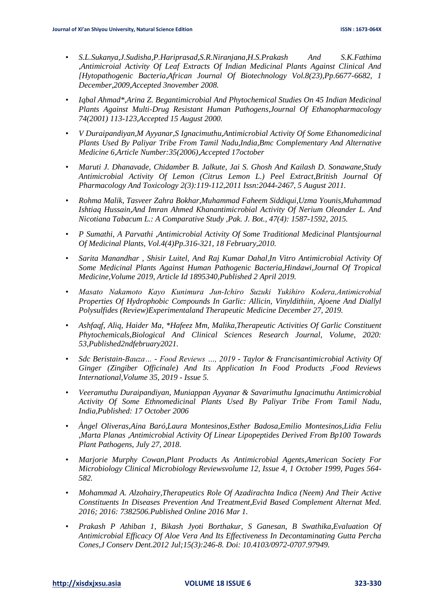- *S.L.Sukanya,J.Sudisha,P.Hariprasad,S.R.Niranjana,H.S.Prakash And S.K.Fathima ,Antimicroial Activity Of Leaf Extracts Of Indian Medicinal Plants Against Clinical And [Hytopathogenic Bacteria,African Journal Of Biotechnology Vol.8(23),Pp.6677-6682, 1 December,2009,Accepted 3november 2008.*
- *Iqbal Ahmad\*,Arina Z. Begantimicrobial And Phytochemical Studies On 45 Indian Medicinal Plants Against Multi-Drug Resistant Human Pathogens,Journal Of Ethanopharmacology 74(2001) 113-123,Accepted 15 August 2000.*
- *V Duraipandiyan,M Ayyanar,S Ignacimuthu,Antimicrobial Activity Of Some Ethanomedicinal Plants Used By Paliyar Tribe From Tamil Nadu,India,Bmc Complementary And Alternative Medicine 6,Article Number:35(2006),Accepted 17october*
- *Maruti J. Dhanavade, Chidamber B. Jalkute, Jai S. Ghosh And Kailash D. Sonawane,Study Antimicrobial Activity Of Lemon (Citrus Lemon L.) Peel Extract,British Journal Of Pharmacology And Toxicology 2(3):119-112,2011 Issn:2044-2467, 5 August 2011.*
- *Rohma Malik, Tasveer Zahra Bokhar,Muhammad Faheem Siddiqui,Uzma Younis,Muhammad Ishtiaq Hussain,And Imran Ahmed Khanantimicrobial Activity Of Nerium Oleander L. And Nicotiana Tabacum L.: A Comparative Study ,Pak. J. Bot., 47(4): 1587-1592, 2015.*
- *P Sumathi, A Parvathi ,Antimicrobial Activity Of Some Traditional Medicinal Plantsjournal Of Medicinal Plants, Vol.4(4)Pp.316-321, 18 February,2010.*
- *Sarita Manandhar , Shisir Luitel, And Raj Kumar Dahal,In Vitro Antimicrobial Activity Of Some Medicinal Plants Against Human Pathogenic Bacteria,Hindawi,Journal Of Tropical Medicine,Volume 2019, Article Id 1895340,Published 2 April 2019.*
- *Masato Nakamoto Kayo Kunimura Jun‑Ichiro Suzuki Yukihiro Kodera,Antimicrobial Properties Of Hydrophobic Compounds In Garlic: Allicin, Vinyldithiin, Ajoene And Diallyl Polysulfides (Review)Experimentaland Therapeutic Medicine December 27, 2019.*
- *Ashfaqf, Aliq, Haider Ma, \*Hafeez Mm, Malika,Therapeutic Activities Of Garlic Constituent Phytochemicals,Biological And Clinical Sciences Research Journal, Volume, 2020: 53,Published2ndfebruary2021.*
- *Sdc Beristain-Bauza… - Food Reviews …, 2019 - Taylor & Francisantimicrobial Activity Of Ginger (Zingiber Officinale) And Its Application In Food Products ,Food Reviews International,Volume 35, 2019 - Issue 5.*
- *Veeramuthu Duraipandiyan, Muniappan Ayyanar & Savarimuthu Ignacimuthu Antimicrobial Activity Of Some Ethnomedicinal Plants Used By Paliyar Tribe From Tamil Nadu, India,Published: 17 October 2006*
- *Àngel Oliveras,Aina Baró,Laura Montesinos,Esther Badosa,Emilio Montesinos,Lidia Feliu ,Marta Planas ,Antimicrobial Activity Of Linear Lipopeptides Derived From Bp100 Towards Plant Pathogens, July 27, 2018.*
- *Marjorie Murphy Cowan,Plant Products As Antimicrobial Agents,American Society For Microbiology Clinical Microbiology Reviewsvolume 12, Issue 4, 1 October 1999, Pages 564- 582.*
- *Mohammad A. Alzohairy,Therapeutics Role Of Azadirachta Indica (Neem) And Their Active Constituents In Diseases Prevention And Treatment,Evid Based Complement Alternat Med. 2016; 2016: 7382506.Published Online 2016 Mar 1.*
- *Prakash P Athiban 1, Bikash Jyoti Borthakur, S Ganesan, B Swathika,Evaluation Of Antimicrobial Efficacy Of Aloe Vera And Its Effectiveness In Decontaminating Gutta Percha Cones,J Conserv Dent.2012 Jul;15(3):246-8. Doi: 10.4103/0972-0707.97949.*